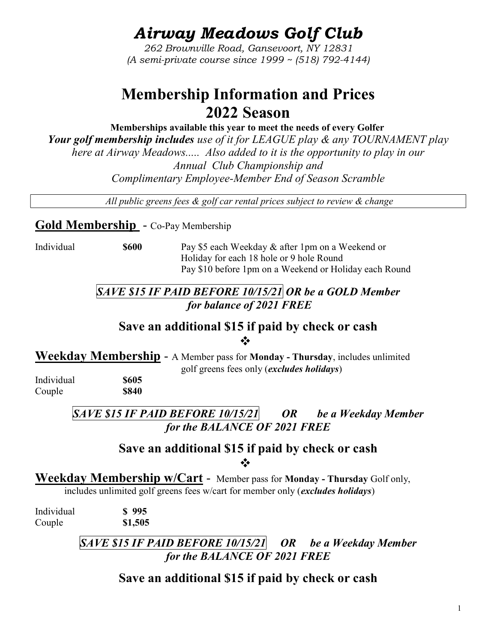# Airway Meadows Golf Club

262 Brownville Road, Gansevoort, NY 12831 (A semi-private course since 1999 ~ (518) 792-4144)

## Membership Information and Prices 2022 Season

 Memberships available this year to meet the needs of every Golfer Your golf membership includes use of it for LEAGUE play & any TOURNAMENT play here at Airway Meadows..... Also added to it is the opportunity to play in our Annual Club Championship and Complimentary Employee-Member End of Season Scramble

All public greens fees  $\&$  golf car rental prices subject to review  $\&$  change

Gold Membership - Co-Pay Membership

Individual \$600 Pay \$5 each Weekday & after 1pm on a Weekend or Holiday for each 18 hole or 9 hole Round Pay \$10 before 1pm on a Weekend or Holiday each Round

## $SAVE$  \$15 IF PAID BEFORE 10/15/21 OR be a GOLD Member for balance of 2021 FREE

#### Save an additional \$15 if paid by check or cash  $\frac{1}{2}$

Weekday Membership - A Member pass for Monday - Thursday, includes unlimited golf greens fees only (excludes holidays)

Individual \$605 Couple \$840

 $SAVE$  \$15 IF PAID BEFORE 10/15/21 OR be a Weekday Member for the BALANCE OF 2021 FREE

### Save an additional \$15 if paid by check or cash ❖

Weekday Membership w/Cart - Member pass for Monday - Thursday Golf only, includes unlimited golf greens fees w/cart for member only (excludes holidays)

Individual \$ 995 Couple \$1,505

> SAVE \$15 IF PAID BEFORE 10/15/21 OR be a Weekday Member for the BALANCE OF 2021 FREE

## Save an additional \$15 if paid by check or cash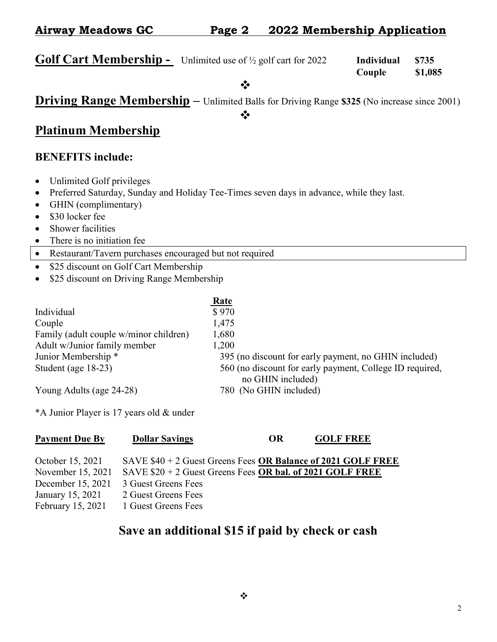| <b>Airway Meadows GC</b>                                                        | Page 2 | 2022 Membership Application |            |       |  |
|---------------------------------------------------------------------------------|--------|-----------------------------|------------|-------|--|
|                                                                                 |        |                             |            |       |  |
| <b>Golf Cart Membership -</b> Unlimited use of $\frac{1}{2}$ golf cart for 2022 |        |                             | Individual | \$735 |  |

# Couple \$1,085

 $\frac{1}{2}$ 

## Driving Range Membership – Unlimited Balls for Driving Range \$325 (No increase since 2001)

 $\frac{1}{2}$ 

### Platinum Membership

#### BENEFITS include:

- Unlimited Golf privileges
- Preferred Saturday, Sunday and Holiday Tee-Times seven days in advance, while they last.
- GHIN (complimentary)
- \$30 locker fee
- Shower facilities
- There is no initiation fee
- Restaurant/Tavern purchases encouraged but not required
- \$25 discount on Golf Cart Membership
- \$25 discount on Driving Range Membership

|                                        | <b>Rate</b>                                              |
|----------------------------------------|----------------------------------------------------------|
| Individual                             | \$970                                                    |
| Couple                                 | 1,475                                                    |
| Family (adult couple w/minor children) | 1,680                                                    |
| Adult w/Junior family member           | 1,200                                                    |
| Junior Membership *                    | 395 (no discount for early payment, no GHIN included)    |
| Student (age 18-23)                    | 560 (no discount for early payment, College ID required, |
|                                        | no GHIN included)                                        |
| Young Adults (age 24-28)               | 780 (No GHIN included)                                   |

\*A Junior Player is 17 years old & under

| <b>Payment Due By</b> | <b>Dollar Savings</b>                                        | OR. | <b>GOLF FREE</b> |  |
|-----------------------|--------------------------------------------------------------|-----|------------------|--|
| October 15, 2021      | SAVE \$40 + 2 Guest Greens Fees OR Balance of 2021 GOLF FREE |     |                  |  |
| November 15, 2021     | SAVE $$20 + 2$ Guest Greens Fees OR bal. of 2021 GOLF FREE   |     |                  |  |
| December 15, 2021     | 3 Guest Greens Fees                                          |     |                  |  |
| January 15, 2021      | 2 Guest Greens Fees                                          |     |                  |  |
| February 15, 2021     | 1 Guest Greens Fees                                          |     |                  |  |

## Save an additional \$15 if paid by check or cash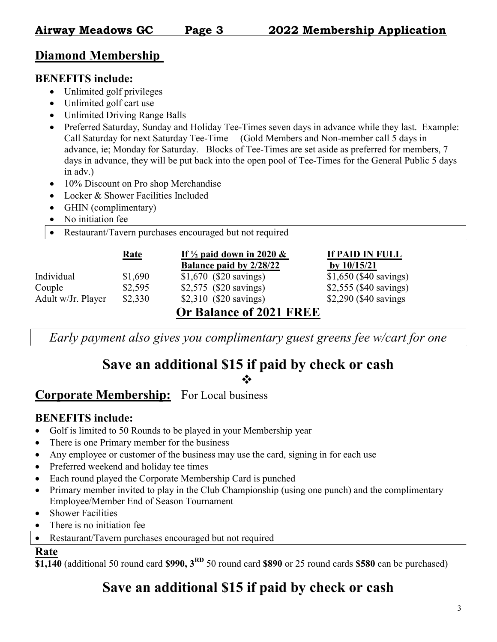## Diamond Membership

#### BENEFITS include:

- Unlimited golf privileges
- Unlimited golf cart use
- Unlimited Driving Range Balls
- Preferred Saturday, Sunday and Holiday Tee-Times seven days in advance while they last. Example: Call Saturday for next Saturday Tee-Time (Gold Members and Non-member call 5 days in advance, ie; Monday for Saturday. Blocks of Tee-Times are set aside as preferred for members, 7 days in advance, they will be put back into the open pool of Tee-Times for the General Public 5 days in adv.)
- 10% Discount on Pro shop Merchandise
- Locker & Shower Facilities Included
- GHIN (complimentary)
- No initiation fee
- Restaurant/Tavern purchases encouraged but not required

|                    | <u>Rate</u> | If $\frac{1}{2}$ paid down in 2020 & | If PAID IN FULL         |
|--------------------|-------------|--------------------------------------|-------------------------|
|                    |             | Balance paid by 2/28/22              | by $10/15/21$           |
| Individual         | \$1,690     | $$1,670$ (\$20 savings)              | $$1,650$ (\$40 savings) |
| Couple             | \$2,595     | \$2,575 (\$20 savings)               | \$2,555 (\$40 savings)  |
| Adult w/Jr. Player | \$2,330     | \$2,310 (\$20 savings)               | \$2,290 (\$40 savings)  |
|                    |             | Or Balance of 2021 FREE              |                         |

Early payment also gives you complimentary guest greens fee w/cart for one

## Save an additional \$15 if paid by check or cash

❖

## Corporate Membership: For Local business

#### BENEFITS include:

- Golf is limited to 50 Rounds to be played in your Membership year
- There is one Primary member for the business
- Any employee or customer of the business may use the card, signing in for each use
- Preferred weekend and holiday tee times
- Each round played the Corporate Membership Card is punched
- Primary member invited to play in the Club Championship (using one punch) and the complimentary Employee/Member End of Season Tournament
- Shower Facilities
- There is no initiation fee
- Restaurant/Tavern purchases encouraged but not required

#### Rate

 $\overline{$1,140}$  (additional 50 round card \$990,  $3^{RD}$  50 round card \$890 or 25 round cards \$580 can be purchased)

## Save an additional \$15 if paid by check or cash